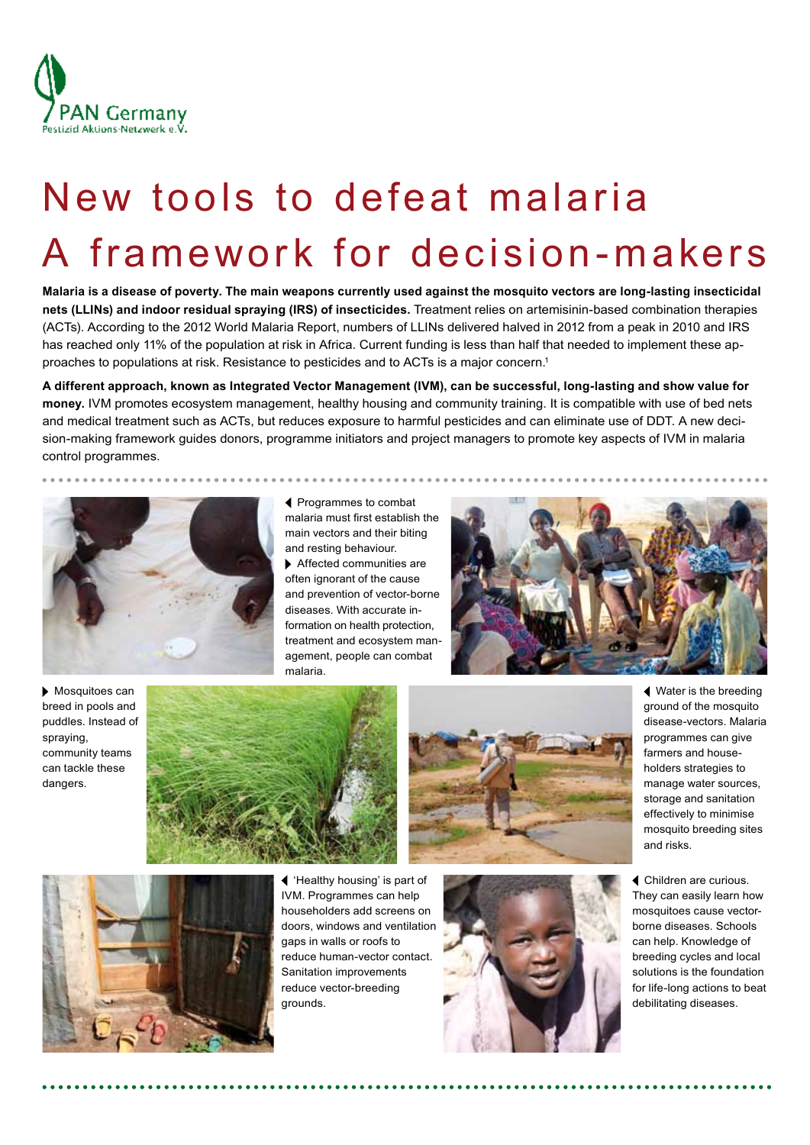

# New tools to defeat malaria A framework for decision- makers

**Malaria is a disease of poverty. The main weapons currently used against the mosquito vectors are long-lasting insecticidal nets (LLINs) and indoor residual spraying (IRS) of insecticides.** Treatment relies on artemisinin-based combination therapies (ACTs). According to the 2012 World Malaria Report, numbers of LLINs delivered halved in 2012 from a peak in 2010 and IRS has reached only 11% of the population at risk in Africa. Current funding is less than half that needed to implement these approaches to populations at risk. Resistance to pesticides and to ACTs is a major concern.1

**A different approach, known as Integrated Vector Management (IVM), can be successful, long-lasting and show value for money.** IVM promotes ecosystem management, healthy housing and community training. It is compatible with use of bed nets and medical treatment such as ACTs, but reduces exposure to harmful pesticides and can eliminate use of DDT. A new decision-making framework guides donors, programme initiators and project managers to promote key aspects of IVM in malaria control programmes.



 Programmes to combat malaria must first establish the main vectors and their biting and resting behaviour.

\*\*\*\*\*\*\*\*\*\*\*\*\*\*

 Affected communities are often ignorant of the cause and prevention of vector-borne diseases. With accurate information on health protection, treatment and ecosystem management, people can combat malaria.



 Mosquitoes can breed in pools and puddles. Instead of spraying, community teams can tackle these dangers.





 Water is the breeding ground of the mosquito disease-vectors. Malaria programmes can give farmers and householders strategies to manage water sources, storage and sanitation effectively to minimise mosquito breeding sites and risks.



 'Healthy housing' is part of IVM. Programmes can help householders add screens on doors, windows and ventilation gaps in walls or roofs to reduce human-vector contact. Sanitation improvements reduce vector-breeding grounds.



 Children are curious. They can easily learn how mosquitoes cause vectorborne diseases. Schools can help. Knowledge of breeding cycles and local solutions is the foundation for life-long actions to beat debilitating diseases.